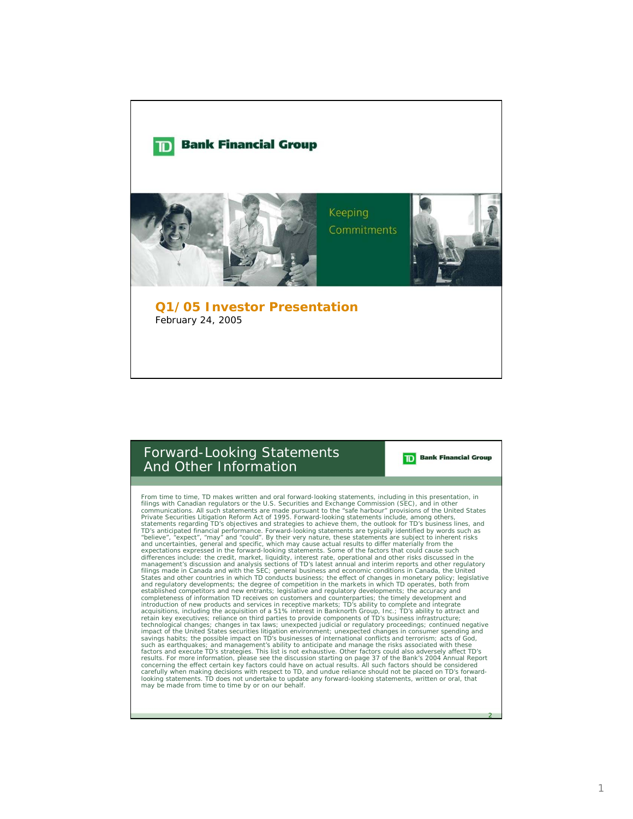

## Forward-Looking Statements And Other Information

From time to time, TD makes written and oral forward-looking statements, including in this presentation, in filings with Canadian regulators or the U.S. Securities and Exchange Communications. All such statements are made expectations expressed in the forward-looking statements. Some of the factors that could cause such<br>differences include: the credit, market, liquidity, interest rate, operational and other risks discussed in the<br>management States and other countries in which TD conducts business; the effect of changes in monetary policy; legislative and regulatory developments; the degree of competition in the markets in which TD operates, both from established competitors and new entrants; legislative and regulatory developments; the accuracy and completeness of information TD receives on customers and counterparties; the timely development and introduction of new products and services in receptive markets; TD's ability to complete and integrate<br>acquisitions, including the acquisition of a 51% interest in Banknorth Group, Inc.; TD's ability to attract and<br>retain such as earthquakes; and management's ability to anticipate and manage the risks associated with these<br>factors and execute TD's strategies. This list is not exhaustive. Other factors could also adversely affect TD's<br>result looking statements. TD does not undertake to update any forward-looking statements, written or oral, that may be made from time to time by or on our behalf.

2

**Bank Financial Group**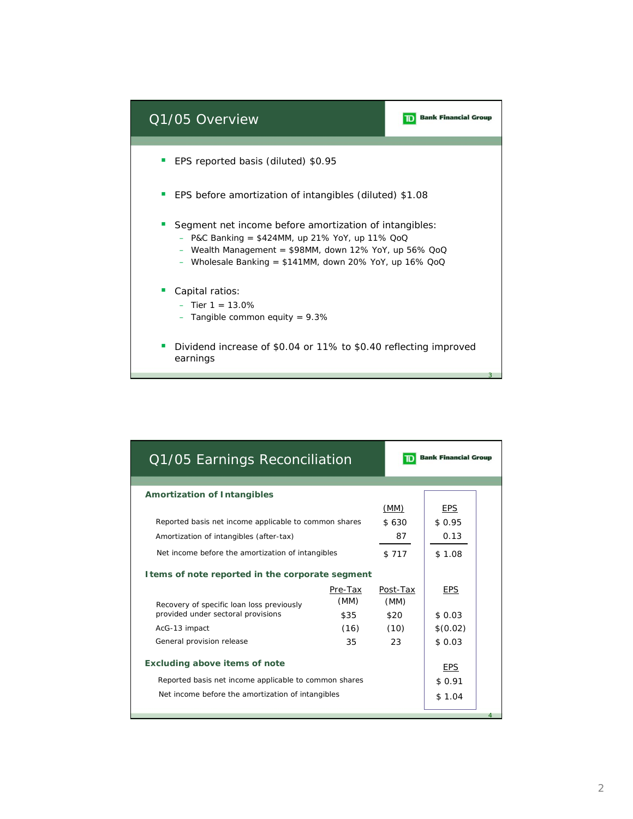

| Q1/05 Earnings Reconciliation                         |         | <b>Bank Financial Group</b> |            |  |
|-------------------------------------------------------|---------|-----------------------------|------------|--|
|                                                       |         |                             |            |  |
| <b>Amortization of Intangibles</b>                    |         | (MM)                        | <b>EPS</b> |  |
| Reported basis net income applicable to common shares |         | \$630                       | \$0.95     |  |
|                                                       |         |                             |            |  |
| Amortization of intangibles (after-tax)               |         | 87                          | 0.13       |  |
| Net income before the amortization of intangibles     |         | \$717                       | \$1.08     |  |
| I tems of note reported in the corporate segment      |         |                             |            |  |
|                                                       | Pre-Tax | Post-Tax                    | <b>EPS</b> |  |
| Recovery of specific loan loss previously             | (MM)    | (MM)                        |            |  |
| provided under sectoral provisions                    | \$35    | \$20                        | \$0.03     |  |
| AcG-13 impact                                         | (16)    | (10)                        | \$(0.02)   |  |
| General provision release                             | 35      | 23                          | \$0.03     |  |
|                                                       |         |                             |            |  |
| <b>Excluding above items of note</b>                  |         |                             | <b>EPS</b> |  |
| Reported basis net income applicable to common shares |         |                             | \$0.91     |  |
| Net income before the amortization of intangibles     |         |                             | \$1.04     |  |
|                                                       |         |                             |            |  |
|                                                       |         |                             |            |  |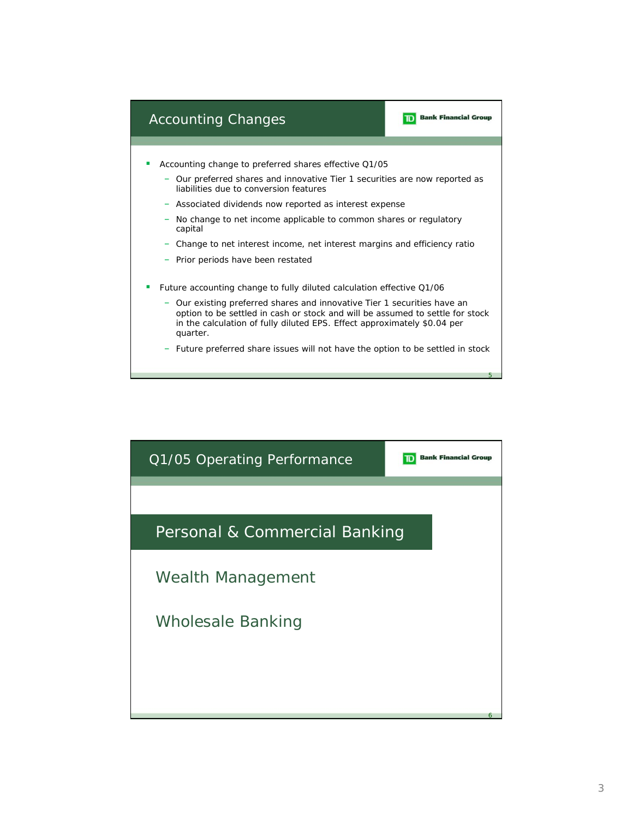

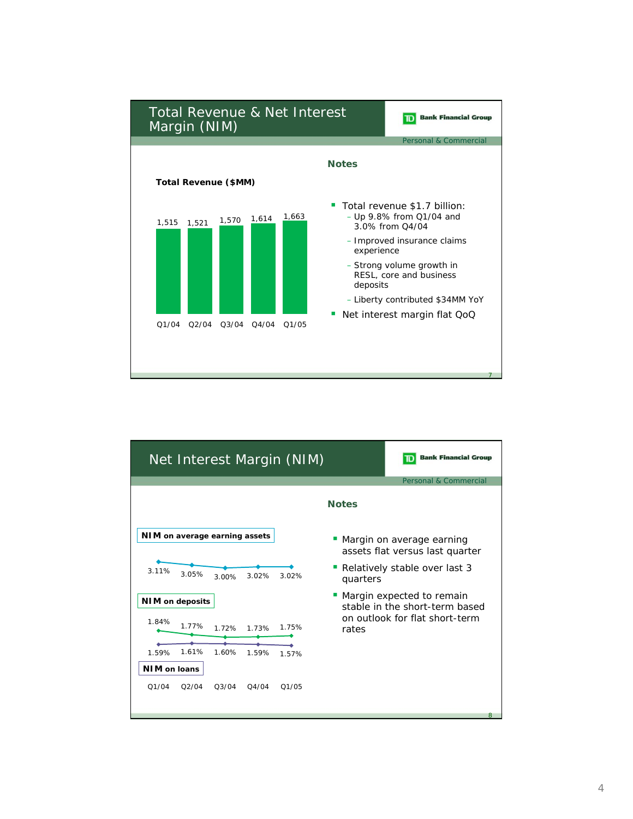

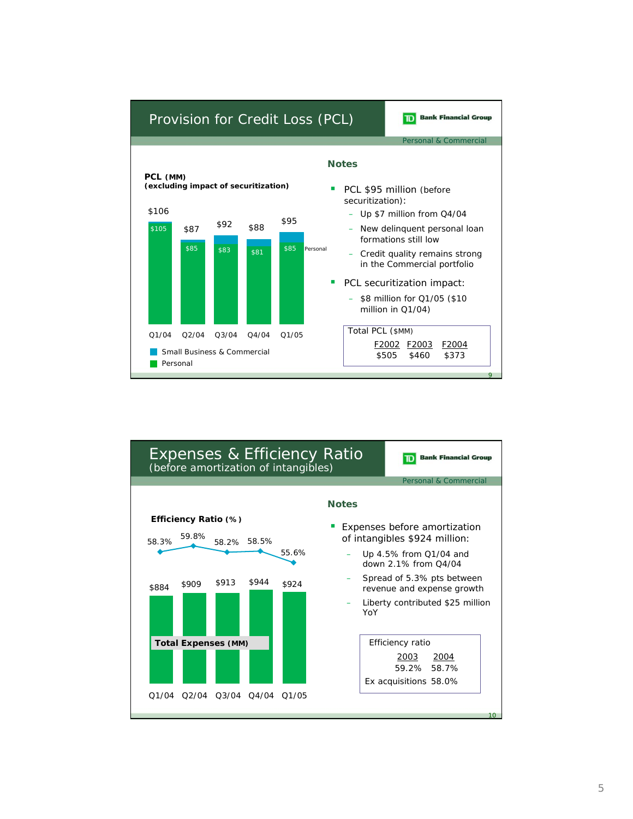

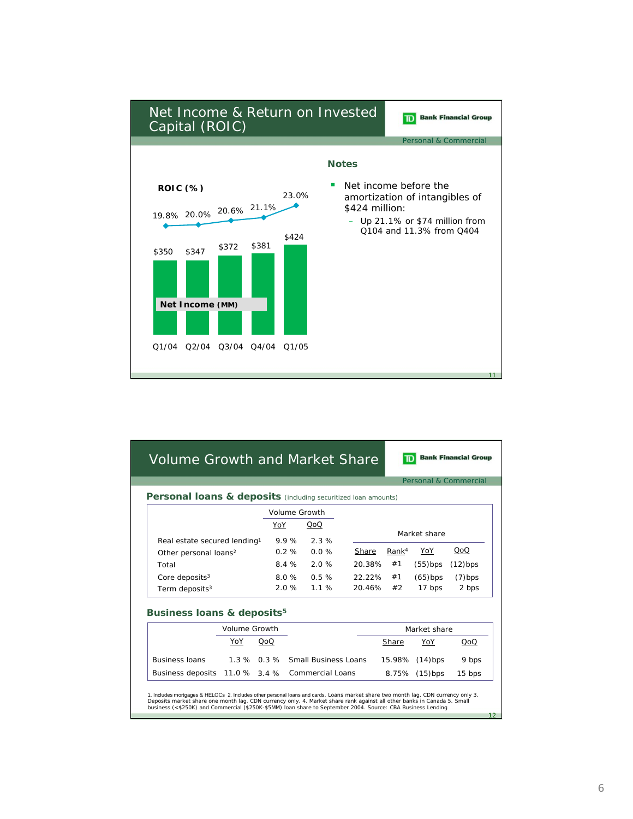

|                                                                           |               |                                |      |                                  |        |                   | Personal & Commercial |            |
|---------------------------------------------------------------------------|---------------|--------------------------------|------|----------------------------------|--------|-------------------|-----------------------|------------|
| <b>Personal loans &amp; deposits</b> (including securitized loan amounts) |               |                                |      |                                  |        |                   |                       |            |
|                                                                           |               |                                |      | Volume Growth                    |        |                   |                       |            |
|                                                                           |               | YoY                            |      | QoQ                              |        |                   |                       |            |
| Real estate secured lending <sup>1</sup>                                  |               |                                | 9.9% | 2.3%                             |        | Market share      |                       |            |
| Other personal loans <sup>2</sup>                                         |               |                                | 0.2% | $0.0\%$                          | Share  | Rank <sup>4</sup> | YoY                   | QoQ        |
| Total                                                                     |               |                                | 84%  | 2.0%                             | 20.38% | #1                | $(55)$ bps            | $(12)$ bps |
| Core deposits $3$                                                         |               |                                | 80%  | 0.5%                             | 2222%  | #1                | $(65)$ bps            | $(7)$ bps  |
| Term deposits <sup>3</sup>                                                |               |                                | 2.0% | 1 1 %                            | 20.46% | #2                | 17 bps                | 2 bps      |
|                                                                           |               |                                |      |                                  |        |                   |                       |            |
| Business loans & deposits <sup>5</sup>                                    | Volume Growth |                                |      |                                  |        |                   | Market share          |            |
|                                                                           | YoY           | QoQ                            |      |                                  |        |                   |                       | QoQ        |
|                                                                           |               |                                |      |                                  |        | Share             | YoY                   |            |
| <b>Business Joans</b>                                                     |               |                                |      | 1.3 % 0.3 % Small Business Loans |        | 15.98%            | $(14)$ bps            | 9 bps      |
|                                                                           |               | Business deposits 11.0 % 3.4 % |      | <b>Commercial Loans</b>          |        |                   | 8.75% (15)bps         | $15$ bps   |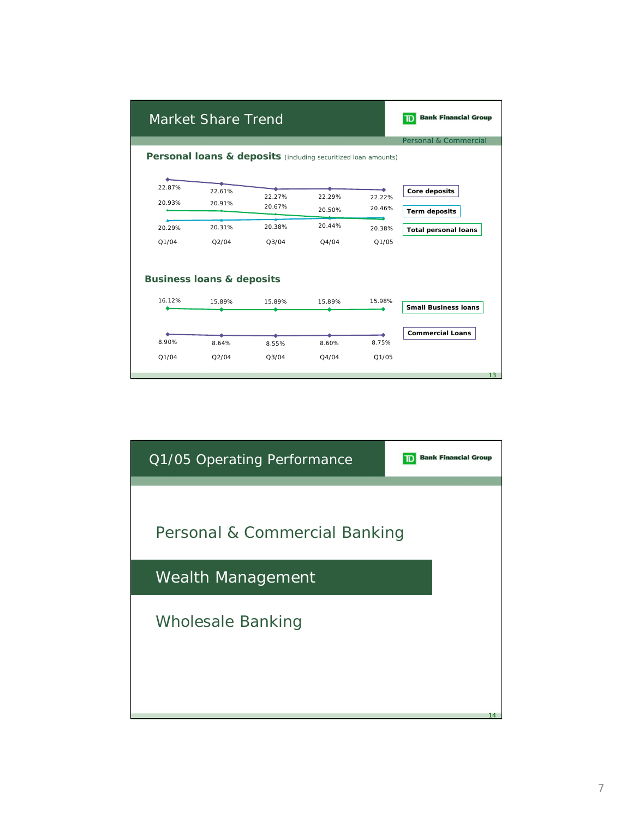|                  | Market Share Trend                   |                                                                           |                  |                  | <b>Bank Financial Group</b><br>ומד    |
|------------------|--------------------------------------|---------------------------------------------------------------------------|------------------|------------------|---------------------------------------|
|                  |                                      | <b>Personal loans &amp; deposits</b> (including securitized loan amounts) |                  |                  | Personal & Commercial                 |
| 22.87%<br>20.93% | 22.61%<br>20.91%                     | 22.27%<br>20.67%                                                          | 22.29%<br>20.50% | 22.22%<br>20.46% | Core deposits<br><b>Term deposits</b> |
| 20.29%<br>Q1/04  | 20.31%<br>Q2/04                      | 20.38%<br>Q3/04                                                           | 20.44%<br>Q4/04  | 20.38%<br>Q1/05  | <b>Total personal loans</b>           |
|                  | <b>Business loans &amp; deposits</b> |                                                                           |                  |                  |                                       |
| 16.12%           | 15.89%                               | 15.89%                                                                    | 15.89%           | 15.98%           | <b>Small Business loans</b>           |
| 8.90%<br>Q1/04   | 8.64%<br>Q2/04                       | 8.55%<br>Q3/04                                                            | 8.60%<br>Q4/04   | 8.75%<br>Q1/05   | <b>Commercial Loans</b><br>13         |

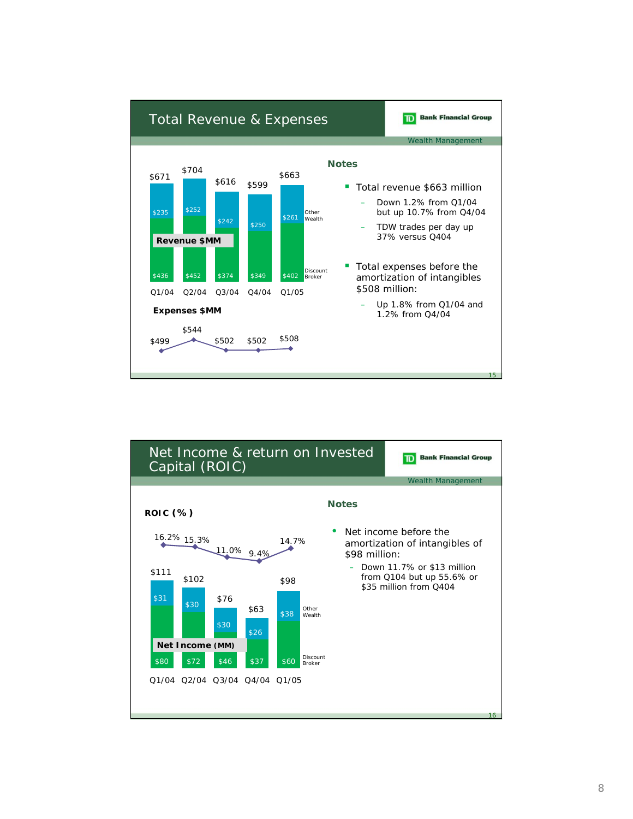

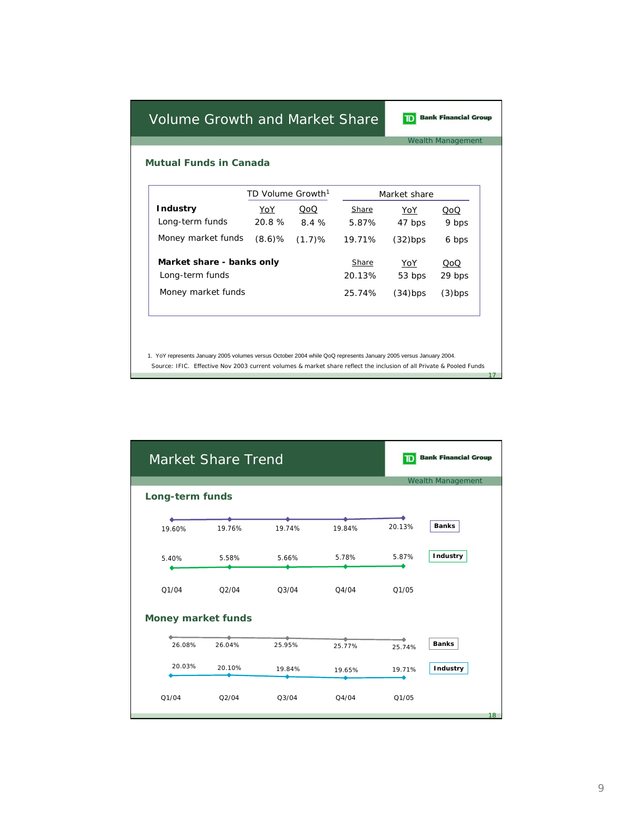**Bank Financial Group** 

Wealth Management

17

**Mutual Funds in Canada**

|                           | TD Volume Growth <sup>1</sup> |        | Market share |            |           |  |
|---------------------------|-------------------------------|--------|--------------|------------|-----------|--|
| <b>Industry</b>           | YoY                           | QoQ    | Share        | YoY        | QoQ       |  |
| Long-term funds           | 20.8%                         | 8.4 %  | 5.87%        | 47 bps     | 9 bps     |  |
| Money market funds        | $(8.6)$ %                     | (1.7)% | 19.71%       | $(32)$ bps | 6 bps     |  |
| Market share - banks only |                               |        | Share        | YoY        | QoQ       |  |
| Long-term funds           |                               |        | 20.13%       | 53 bps     | 29 bps    |  |
| Money market funds        |                               |        | 25.74%       | $(34)$ bps | $(3)$ bps |  |

1. YoY represents January 2005 volumes versus October 2004 while QoQ represents January 2005 versus January 2004. Source: IFIC. Effective Nov 2003 current volumes & market share reflect the inclusion of all Private & Pooled Funds

|                 | Market Share Trend        |          |        | D      | <b>Bank Financial Group</b> |
|-----------------|---------------------------|----------|--------|--------|-----------------------------|
|                 |                           |          |        |        | <b>Wealth Management</b>    |
| Long-term funds |                           |          |        |        |                             |
|                 |                           |          |        |        |                             |
| 19.60%          | 19.76%                    | 19.74%   | 19.84% | 20.13% | <b>Banks</b>                |
| 5.40%           | 5.58%                     | 5.66%    | 5.78%  | 5.87%  | Industry                    |
| Q1/04           | Q2/04                     | Q3/04    | Q4/04  | Q1/05  |                             |
|                 | <b>Money market funds</b> |          |        |        |                             |
|                 |                           |          |        |        |                             |
| 26.08%          | 26.04%                    | 25.95%   | 25.77% | 25.74% | <b>Banks</b>                |
| 20.03%          | 20.10%                    | 19.84%   | 19.65% | 19.71% | Industry                    |
| Q1/04           | Q2/04                     | $Q_3/04$ | Q4/04  | Q1/05  | 18                          |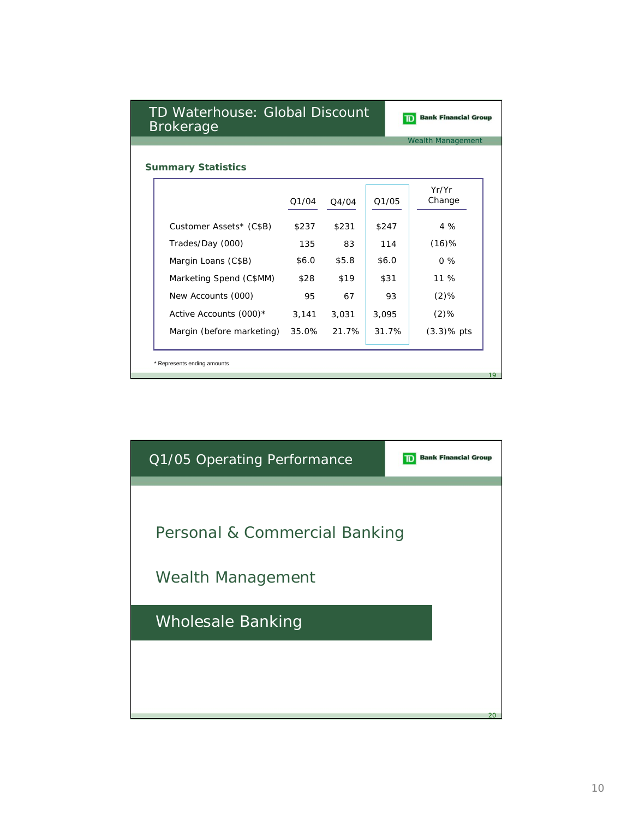|                           |       |       |       | <b>Wealth Management</b> |  |  |  |
|---------------------------|-------|-------|-------|--------------------------|--|--|--|
| <b>Summary Statistics</b> |       |       |       |                          |  |  |  |
|                           | Q1/04 | Q4/04 | Q1/05 | Yr/Yr<br>Change          |  |  |  |
| Customer Assets* (C\$B)   | \$237 | \$231 | \$247 | 4%                       |  |  |  |
| Trades/Day (000)          | 135   | 83    | 114   | $(16)$ %                 |  |  |  |
| Margin Loans (C\$B)       | \$6.0 | \$5.8 | \$6.0 | $0\%$                    |  |  |  |
| Marketing Spend (C\$MM)   | \$28  | \$19  | \$31  | 11 %                     |  |  |  |
| New Accounts (000)        | 95    | 67    | 93    | $(2)$ %                  |  |  |  |
| Active Accounts (000)*    | 3,141 | 3,031 | 3,095 | $(2)$ %                  |  |  |  |
| Margin (before marketing) | 35.0% | 21.7% | 31.7% | $(3.3)$ % pts            |  |  |  |

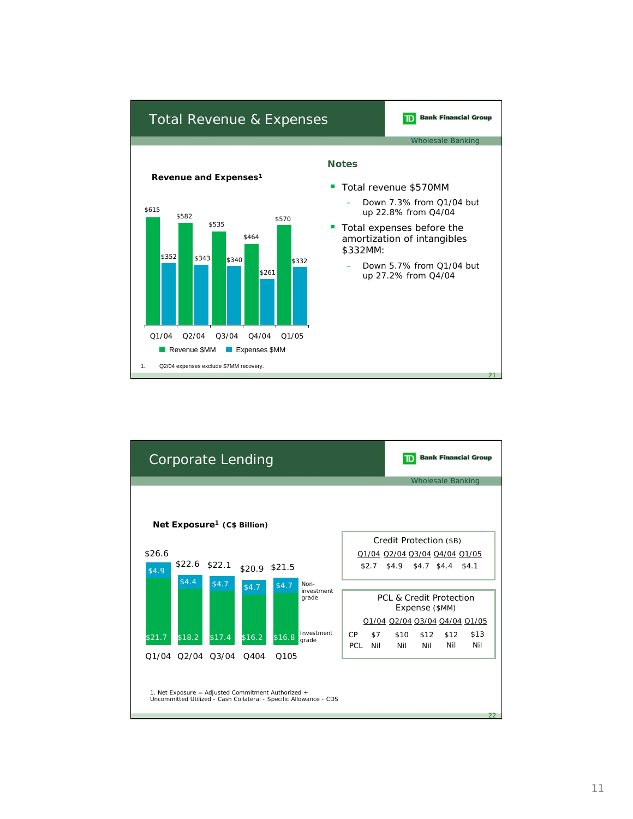

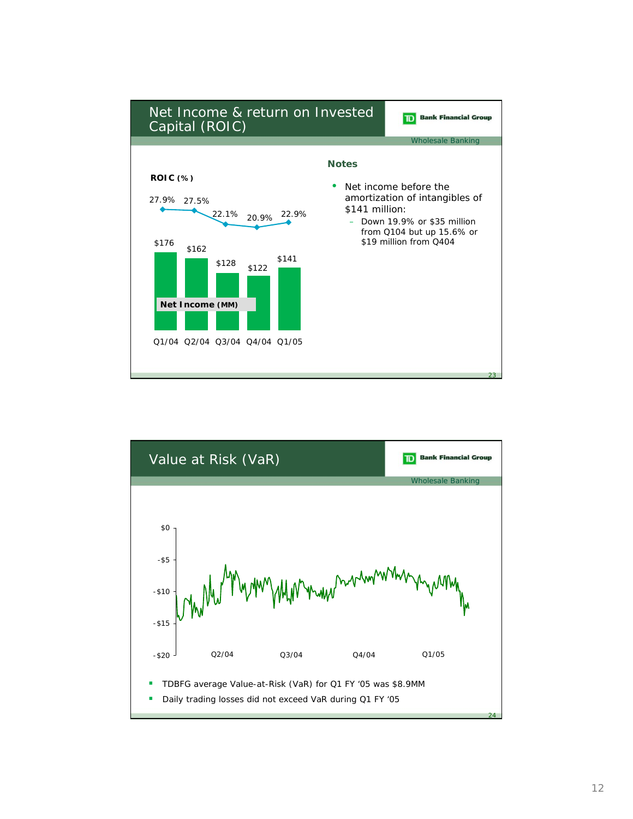